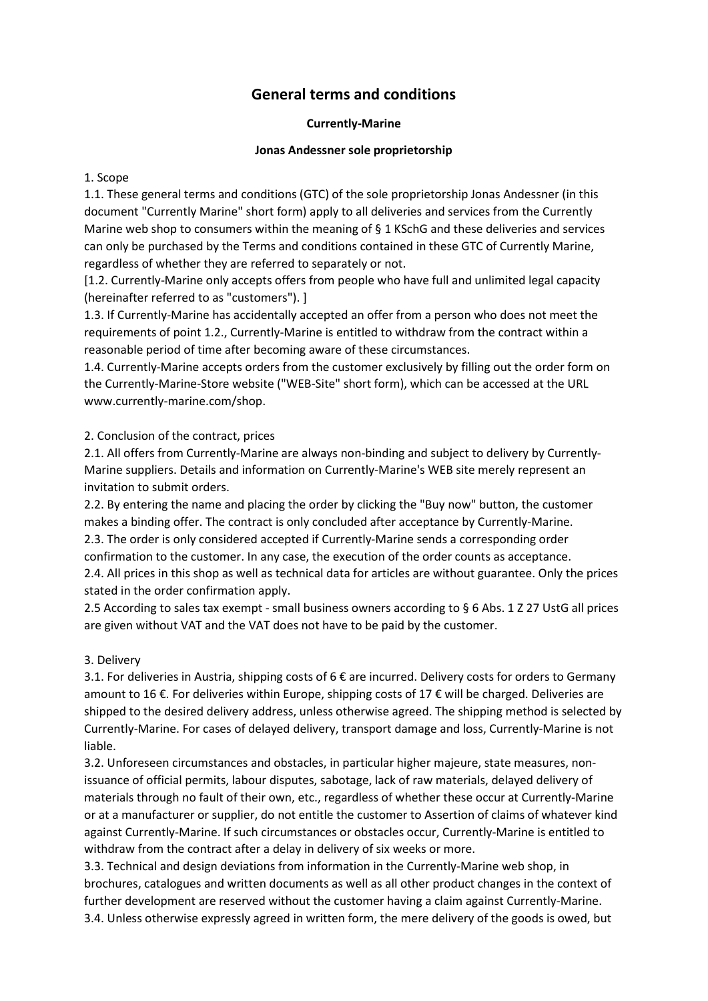# General terms and conditions

#### Currently-Marine

#### Jonas Andessner sole proprietorship

#### 1. Scope

1.1. These general terms and conditions (GTC) of the sole proprietorship Jonas Andessner (in this document "Currently Marine" short form) apply to all deliveries and services from the Currently Marine web shop to consumers within the meaning of § 1 KSchG and these deliveries and services can only be purchased by the Terms and conditions contained in these GTC of Currently Marine, regardless of whether they are referred to separately or not.

[1.2. Currently-Marine only accepts offers from people who have full and unlimited legal capacity (hereinafter referred to as "customers"). ]

1.3. If Currently-Marine has accidentally accepted an offer from a person who does not meet the requirements of point 1.2., Currently-Marine is entitled to withdraw from the contract within a reasonable period of time after becoming aware of these circumstances.

1.4. Currently-Marine accepts orders from the customer exclusively by filling out the order form on the Currently-Marine-Store website ("WEB-Site" short form), which can be accessed at the URL www.currently-marine.com/shop.

### 2. Conclusion of the contract, prices

2.1. All offers from Currently-Marine are always non-binding and subject to delivery by Currently-Marine suppliers. Details and information on Currently-Marine's WEB site merely represent an invitation to submit orders.

2.2. By entering the name and placing the order by clicking the "Buy now" button, the customer makes a binding offer. The contract is only concluded after acceptance by Currently-Marine. 2.3. The order is only considered accepted if Currently-Marine sends a corresponding order confirmation to the customer. In any case, the execution of the order counts as acceptance. 2.4. All prices in this shop as well as technical data for articles are without guarantee. Only the prices stated in the order confirmation apply.

2.5 According to sales tax exempt - small business owners according to § 6 Abs. 1 Z 27 UstG all prices are given without VAT and the VAT does not have to be paid by the customer.

### 3. Delivery

3.1. For deliveries in Austria, shipping costs of  $6 \epsilon$  are incurred. Delivery costs for orders to Germany amount to 16 €. For deliveries within Europe, shipping costs of 17 € will be charged. Deliveries are shipped to the desired delivery address, unless otherwise agreed. The shipping method is selected by Currently-Marine. For cases of delayed delivery, transport damage and loss, Currently-Marine is not liable.

3.2. Unforeseen circumstances and obstacles, in particular higher majeure, state measures, nonissuance of official permits, labour disputes, sabotage, lack of raw materials, delayed delivery of materials through no fault of their own, etc., regardless of whether these occur at Currently-Marine or at a manufacturer or supplier, do not entitle the customer to Assertion of claims of whatever kind against Currently-Marine. If such circumstances or obstacles occur, Currently-Marine is entitled to withdraw from the contract after a delay in delivery of six weeks or more.

3.3. Technical and design deviations from information in the Currently-Marine web shop, in brochures, catalogues and written documents as well as all other product changes in the context of further development are reserved without the customer having a claim against Currently-Marine. 3.4. Unless otherwise expressly agreed in written form, the mere delivery of the goods is owed, but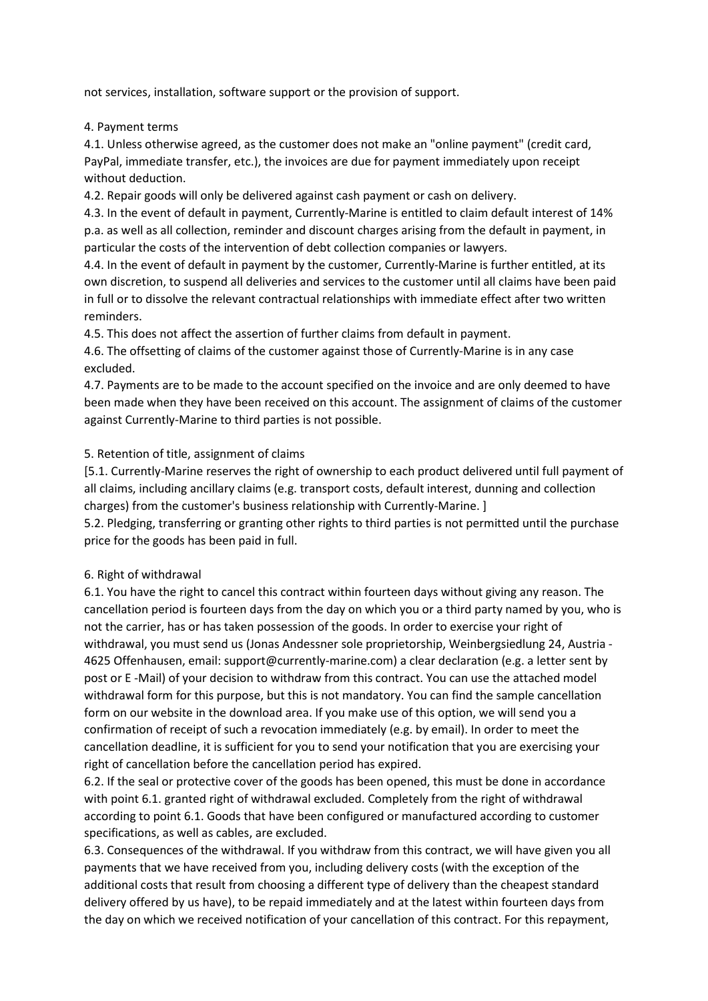not services, installation, software support or the provision of support.

4. Payment terms

4.1. Unless otherwise agreed, as the customer does not make an "online payment" (credit card, PayPal, immediate transfer, etc.), the invoices are due for payment immediately upon receipt without deduction.

4.2. Repair goods will only be delivered against cash payment or cash on delivery.

4.3. In the event of default in payment, Currently-Marine is entitled to claim default interest of 14% p.a. as well as all collection, reminder and discount charges arising from the default in payment, in particular the costs of the intervention of debt collection companies or lawyers.

4.4. In the event of default in payment by the customer, Currently-Marine is further entitled, at its own discretion, to suspend all deliveries and services to the customer until all claims have been paid in full or to dissolve the relevant contractual relationships with immediate effect after two written reminders.

4.5. This does not affect the assertion of further claims from default in payment.

4.6. The offsetting of claims of the customer against those of Currently-Marine is in any case excluded.

4.7. Payments are to be made to the account specified on the invoice and are only deemed to have been made when they have been received on this account. The assignment of claims of the customer against Currently-Marine to third parties is not possible.

### 5. Retention of title, assignment of claims

[5.1. Currently-Marine reserves the right of ownership to each product delivered until full payment of all claims, including ancillary claims (e.g. transport costs, default interest, dunning and collection charges) from the customer's business relationship with Currently-Marine. ]

5.2. Pledging, transferring or granting other rights to third parties is not permitted until the purchase price for the goods has been paid in full.

#### 6. Right of withdrawal

6.1. You have the right to cancel this contract within fourteen days without giving any reason. The cancellation period is fourteen days from the day on which you or a third party named by you, who is not the carrier, has or has taken possession of the goods. In order to exercise your right of withdrawal, you must send us (Jonas Andessner sole proprietorship, Weinbergsiedlung 24, Austria - 4625 Offenhausen, email: support@currently-marine.com) a clear declaration (e.g. a letter sent by post or E -Mail) of your decision to withdraw from this contract. You can use the attached model withdrawal form for this purpose, but this is not mandatory. You can find the sample cancellation form on our website in the download area. If you make use of this option, we will send you a confirmation of receipt of such a revocation immediately (e.g. by email). In order to meet the cancellation deadline, it is sufficient for you to send your notification that you are exercising your right of cancellation before the cancellation period has expired.

6.2. If the seal or protective cover of the goods has been opened, this must be done in accordance with point 6.1. granted right of withdrawal excluded. Completely from the right of withdrawal according to point 6.1. Goods that have been configured or manufactured according to customer specifications, as well as cables, are excluded.

6.3. Consequences of the withdrawal. If you withdraw from this contract, we will have given you all payments that we have received from you, including delivery costs (with the exception of the additional costs that result from choosing a different type of delivery than the cheapest standard delivery offered by us have), to be repaid immediately and at the latest within fourteen days from the day on which we received notification of your cancellation of this contract. For this repayment,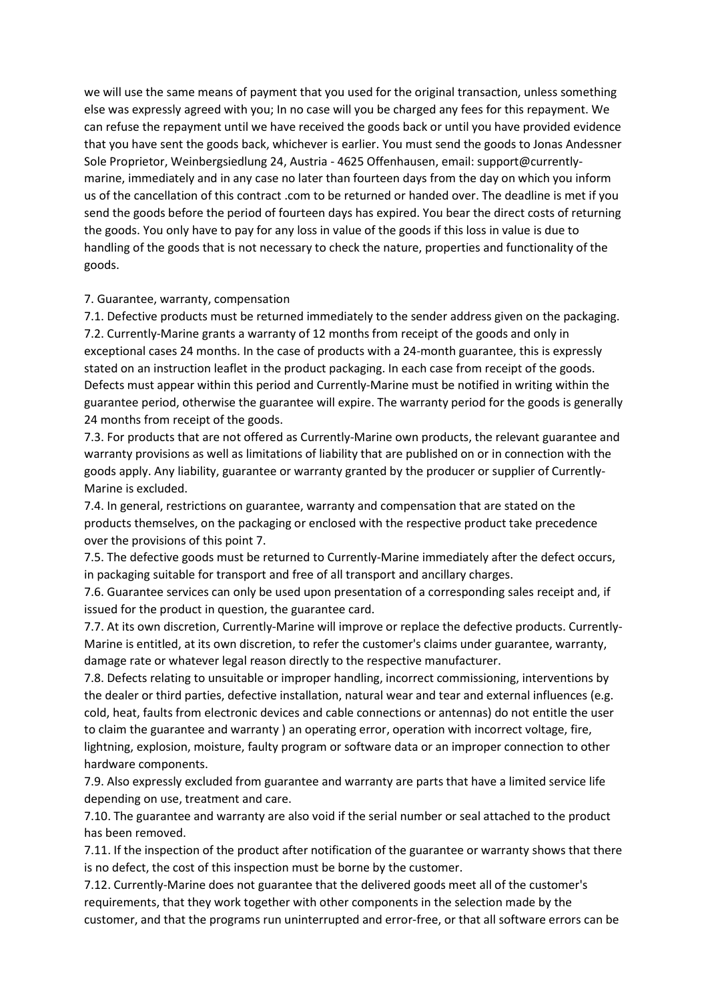we will use the same means of payment that you used for the original transaction, unless something else was expressly agreed with you; In no case will you be charged any fees for this repayment. We can refuse the repayment until we have received the goods back or until you have provided evidence that you have sent the goods back, whichever is earlier. You must send the goods to Jonas Andessner Sole Proprietor, Weinbergsiedlung 24, Austria - 4625 Offenhausen, email: support@currentlymarine, immediately and in any case no later than fourteen days from the day on which you inform us of the cancellation of this contract .com to be returned or handed over. The deadline is met if you send the goods before the period of fourteen days has expired. You bear the direct costs of returning the goods. You only have to pay for any loss in value of the goods if this loss in value is due to handling of the goods that is not necessary to check the nature, properties and functionality of the goods.

#### 7. Guarantee, warranty, compensation

7.1. Defective products must be returned immediately to the sender address given on the packaging. 7.2. Currently-Marine grants a warranty of 12 months from receipt of the goods and only in exceptional cases 24 months. In the case of products with a 24-month guarantee, this is expressly stated on an instruction leaflet in the product packaging. In each case from receipt of the goods. Defects must appear within this period and Currently-Marine must be notified in writing within the guarantee period, otherwise the guarantee will expire. The warranty period for the goods is generally 24 months from receipt of the goods.

7.3. For products that are not offered as Currently-Marine own products, the relevant guarantee and warranty provisions as well as limitations of liability that are published on or in connection with the goods apply. Any liability, guarantee or warranty granted by the producer or supplier of Currently-Marine is excluded.

7.4. In general, restrictions on guarantee, warranty and compensation that are stated on the products themselves, on the packaging or enclosed with the respective product take precedence over the provisions of this point 7.

7.5. The defective goods must be returned to Currently-Marine immediately after the defect occurs, in packaging suitable for transport and free of all transport and ancillary charges.

7.6. Guarantee services can only be used upon presentation of a corresponding sales receipt and, if issued for the product in question, the guarantee card.

7.7. At its own discretion, Currently-Marine will improve or replace the defective products. Currently-Marine is entitled, at its own discretion, to refer the customer's claims under guarantee, warranty, damage rate or whatever legal reason directly to the respective manufacturer.

7.8. Defects relating to unsuitable or improper handling, incorrect commissioning, interventions by the dealer or third parties, defective installation, natural wear and tear and external influences (e.g. cold, heat, faults from electronic devices and cable connections or antennas) do not entitle the user to claim the guarantee and warranty ) an operating error, operation with incorrect voltage, fire, lightning, explosion, moisture, faulty program or software data or an improper connection to other hardware components.

7.9. Also expressly excluded from guarantee and warranty are parts that have a limited service life depending on use, treatment and care.

7.10. The guarantee and warranty are also void if the serial number or seal attached to the product has been removed.

7.11. If the inspection of the product after notification of the guarantee or warranty shows that there is no defect, the cost of this inspection must be borne by the customer.

7.12. Currently-Marine does not guarantee that the delivered goods meet all of the customer's requirements, that they work together with other components in the selection made by the customer, and that the programs run uninterrupted and error-free, or that all software errors can be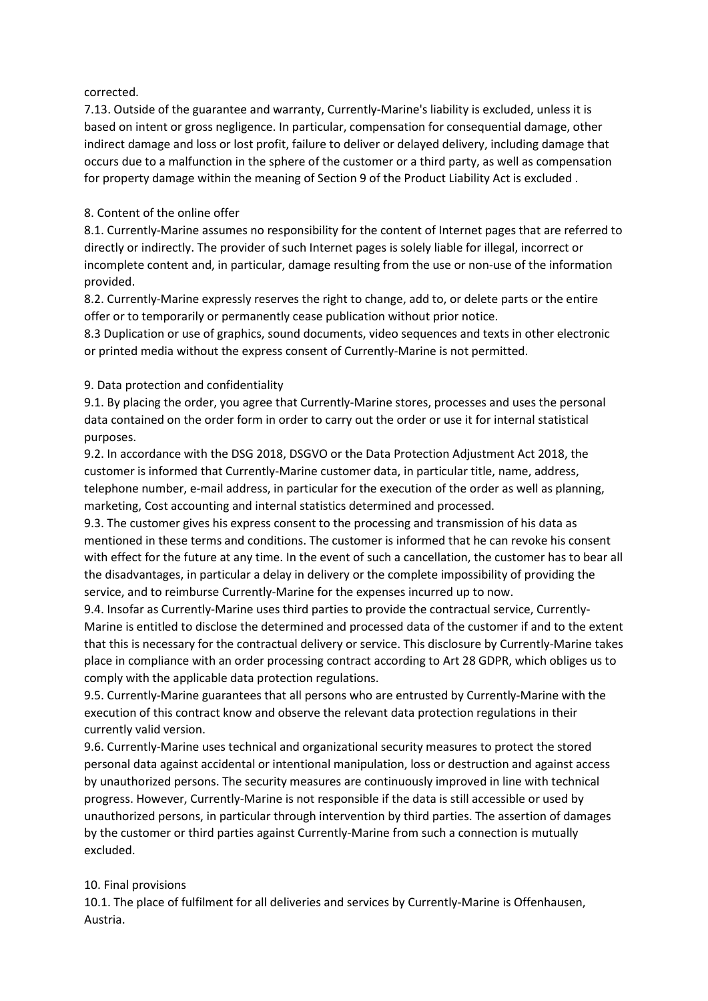### corrected.

7.13. Outside of the guarantee and warranty, Currently-Marine's liability is excluded, unless it is based on intent or gross negligence. In particular, compensation for consequential damage, other indirect damage and loss or lost profit, failure to deliver or delayed delivery, including damage that occurs due to a malfunction in the sphere of the customer or a third party, as well as compensation for property damage within the meaning of Section 9 of the Product Liability Act is excluded .

### 8. Content of the online offer

8.1. Currently-Marine assumes no responsibility for the content of Internet pages that are referred to directly or indirectly. The provider of such Internet pages is solely liable for illegal, incorrect or incomplete content and, in particular, damage resulting from the use or non-use of the information provided.

8.2. Currently-Marine expressly reserves the right to change, add to, or delete parts or the entire offer or to temporarily or permanently cease publication without prior notice.

8.3 Duplication or use of graphics, sound documents, video sequences and texts in other electronic or printed media without the express consent of Currently-Marine is not permitted.

### 9. Data protection and confidentiality

9.1. By placing the order, you agree that Currently-Marine stores, processes and uses the personal data contained on the order form in order to carry out the order or use it for internal statistical purposes.

9.2. In accordance with the DSG 2018, DSGVO or the Data Protection Adjustment Act 2018, the customer is informed that Currently-Marine customer data, in particular title, name, address, telephone number, e-mail address, in particular for the execution of the order as well as planning, marketing, Cost accounting and internal statistics determined and processed.

9.3. The customer gives his express consent to the processing and transmission of his data as mentioned in these terms and conditions. The customer is informed that he can revoke his consent with effect for the future at any time. In the event of such a cancellation, the customer has to bear all the disadvantages, in particular a delay in delivery or the complete impossibility of providing the service, and to reimburse Currently-Marine for the expenses incurred up to now.

9.4. Insofar as Currently-Marine uses third parties to provide the contractual service, Currently-Marine is entitled to disclose the determined and processed data of the customer if and to the extent that this is necessary for the contractual delivery or service. This disclosure by Currently-Marine takes place in compliance with an order processing contract according to Art 28 GDPR, which obliges us to comply with the applicable data protection regulations.

9.5. Currently-Marine guarantees that all persons who are entrusted by Currently-Marine with the execution of this contract know and observe the relevant data protection regulations in their currently valid version.

9.6. Currently-Marine uses technical and organizational security measures to protect the stored personal data against accidental or intentional manipulation, loss or destruction and against access by unauthorized persons. The security measures are continuously improved in line with technical progress. However, Currently-Marine is not responsible if the data is still accessible or used by unauthorized persons, in particular through intervention by third parties. The assertion of damages by the customer or third parties against Currently-Marine from such a connection is mutually excluded.

## 10. Final provisions

10.1. The place of fulfilment for all deliveries and services by Currently-Marine is Offenhausen, Austria.